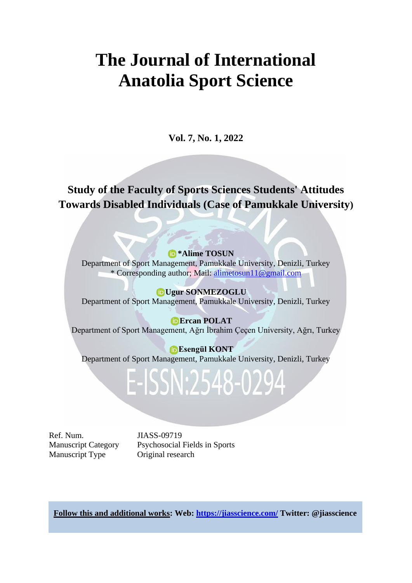# **The Journal of International Anatolia Sport Science**

**Vol. 7, No. 1, 2022**

**Study of the Faculty of Sports Sciences Students' Attitudes Towards Disabled Individuals (Case of Pamukkale University)**

#### **\*Alime TOSUN**

Department of Sport Management, Pamukkale University, Denizli, Turkey \* Corresponding author; Mail: [alimetosun11@gmail.com](mailto:alimetosun11@gmail.com)

**Ugur SONMEZOGLU** Department of Sport Management, Pamukkale University, Denizli, Turkey

**Ercan POLAT** Department of Sport Management, Ağrı İbrahim Çeçen University, Ağrı, Turkey

**Esengül KONT** Department of Sport Management, Pamukkale University, Denizli, Turkey

# E-ISSN:2548-0294

Ref. Num. JIASS-09719 Manuscript Type Original research

Manuscript Category Psychosocial Fields in Sports

**Follow this and additional works: Web:<https://jiasscience.com/> Twitter: @jiasscience**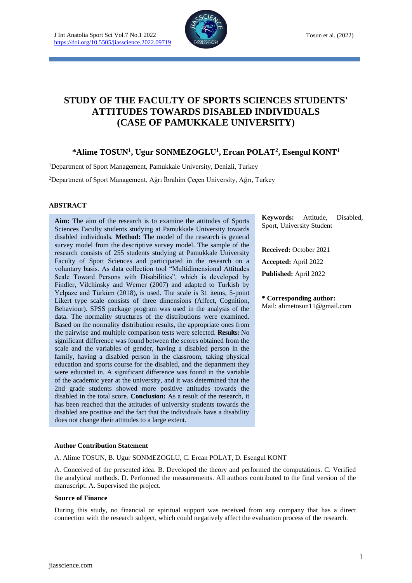

# **STUDY OF THE FACULTY OF SPORTS SCIENCES STUDENTS' ATTITUDES TOWARDS DISABLED INDIVIDUALS (CASE OF PAMUKKALE UNIVERSITY)**

## **\*Alime TOSUN<sup>1</sup> , Ugur SONMEZOGLU<sup>1</sup> , Ercan POLAT<sup>2</sup> , Esengul KONT<sup>1</sup>**

<sup>1</sup>Department of Sport Management, Pamukkale University, Denizli, Turkey

<sup>2</sup>Department of Sport Management, Ağrı İbrahim Çeçen University, Ağrı, Turkey

#### **ABSTRACT**

**Aim:** The aim of the research is to examine the attitudes of Sports Sciences Faculty students studying at Pamukkale University towards disabled individuals. **Method:** The model of the research is general survey model from the descriptive survey model. The sample of the research consists of 255 students studying at Pamukkale University Faculty of Sport Sciences and participated in the research on a voluntary basis. As data collection tool "Multidimensional Attitudes Scale Toward Persons with Disabilities", which is developed by Findler, Vilchinsky and Werner (2007) and adapted to Turkish by Yelpaze and Türküm (2018), is used. The scale is 31 items, 5-point Likert type scale consists of three dimensions (Affect, Cognition, Behaviour). SPSS package program was used in the analysis of the data. The normality structures of the distributions were examined. Based on the normality distribution results, the appropriate ones from the pairwise and multiple comparison tests were selected. **Results:** No significant difference was found between the scores obtained from the scale and the variables of gender, having a disabled person in the family, having a disabled person in the classroom, taking physical education and sports course for the disabled, and the department they were educated in. A significant difference was found in the variable of the academic year at the university, and it was determined that the 2nd grade students showed more positive attitudes towards the disabled in the total score. **Conclusion:** As a result of the research, it has been reached that the attitudes of university students towards the disabled are positive and the fact that the individuals have a disability does not change their attitudes to a large extent.

**Keywords:** Attitude, Disabled, Sport, University Student

**Received:** October 2021 **Accepted:** April 2022 **Published:** April 2022

**\* Corresponding author:** Mail: alimetosun11@gmail.com

#### **Author Contribution Statement**

A. Alime TOSUN, B. Ugur SONMEZOGLU, C. Ercan POLAT, D. Esengul KONT

A. Conceived of the presented idea. B. Developed the theory and performed the computations. C. Verified the analytical methods. D. Performed the measurements. All authors contributed to the final version of the manuscript. A. Supervised the project.

#### **Source of Finance**

During this study, no financial or spiritual support was received from any company that has a direct connection with the research subject, which could negatively affect the evaluation process of the research.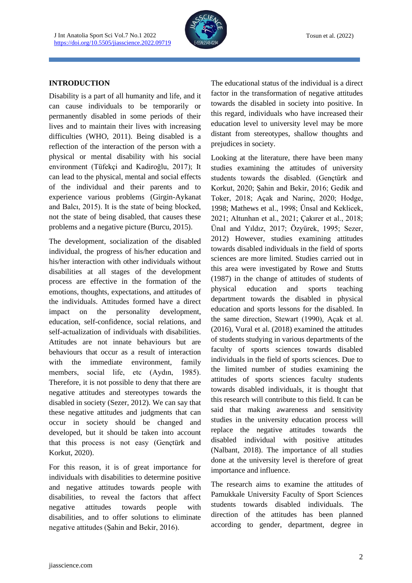

#### **INTRODUCTION**

Disability is a part of all humanity and life, and it can cause individuals to be temporarily or permanently disabled in some periods of their lives and to maintain their lives with increasing difficulties (WHO, 2011). Being disabled is a reflection of the interaction of the person with a physical or mental disability with his social environment (Tüfekçi and Kadiroğlu, 2017); It can lead to the physical, mental and social effects of the individual and their parents and to experience various problems (Girgin-Aykanat and Balcı, 2015). It is the state of being blocked, not the state of being disabled, that causes these problems and a negative picture (Burcu, 2015).

The development, socialization of the disabled individual, the progress of his/her education and his/her interaction with other individuals without disabilities at all stages of the development process are effective in the formation of the emotions, thoughts, expectations, and attitudes of the individuals. Attitudes formed have a direct impact on the personality development, education, self-confidence, social relations, and self-actualization of individuals with disabilities. Attitudes are not innate behaviours but are behaviours that occur as a result of interaction with the immediate environment, family members, social life, etc (Aydın, 1985). Therefore, it is not possible to deny that there are negative attitudes and stereotypes towards the disabled in society (Sezer, 2012). We can say that these negative attitudes and judgments that can occur in society should be changed and developed, but it should be taken into account that this process is not easy (Gençtürk and Korkut, 2020).

For this reason, it is of great importance for individuals with disabilities to determine positive and negative attitudes towards people with disabilities, to reveal the factors that affect negative attitudes towards people with disabilities, and to offer solutions to eliminate negative attitudes (Şahin and Bekir, 2016).

The educational status of the individual is a direct factor in the transformation of negative attitudes towards the disabled in society into positive. In this regard, individuals who have increased their education level to university level may be more distant from stereotypes, shallow thoughts and prejudices in society.

Looking at the literature, there have been many studies examining the attitudes of university students towards the disabled. (Gençtürk and Korkut, 2020; Şahin and Bekir, 2016; Gedik and Toker, 2018; Açak and Narinç, 2020; Hodge, 1998; Mathews et al., 1998; Ünsal and Keklicek, 2021; Altunhan et al., 2021; Çakırer et al., 2018; Ünal and Yıldız, 2017; Özyürek, 1995; Sezer, 2012) However, studies examining attitudes towards disabled individuals in the field of sports sciences are more limited. Studies carried out in this area were investigated by Rowe and Stutts (1987) in the change of attitudes of students of physical education and sports teaching department towards the disabled in physical education and sports lessons for the disabled. In the same direction, Stewart (1990), Açak et al. (2016), Vural et al. (2018) examined the attitudes of students studying in various departments of the faculty of sports sciences towards disabled individuals in the field of sports sciences. Due to the limited number of studies examining the attitudes of sports sciences faculty students towards disabled individuals, it is thought that this research will contribute to this field. It can be said that making awareness and sensitivity studies in the university education process will replace the negative attitudes towards the disabled individual with positive attitudes (Nalbant, 2018). The importance of all studies done at the university level is therefore of great importance and influence.

The research aims to examine the attitudes of Pamukkale University Faculty of Sport Sciences students towards disabled individuals. The direction of the attitudes has been planned according to gender, department, degree in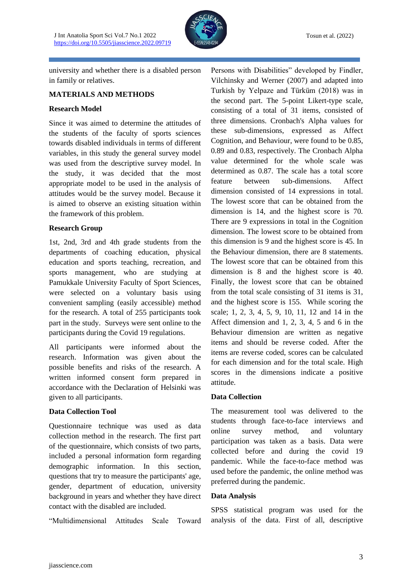

university and whether there is a disabled person in family or relatives.

#### **MATERIALS AND METHODS**

#### **Research Model**

Since it was aimed to determine the attitudes of the students of the faculty of sports sciences towards disabled individuals in terms of different variables, in this study the general survey model was used from the descriptive survey model. In the study, it was decided that the most appropriate model to be used in the analysis of attitudes would be the survey model. Because it is aimed to observe an existing situation within the framework of this problem.

#### **Research Group**

1st, 2nd, 3rd and 4th grade students from the departments of coaching education, physical education and sports teaching, recreation, and sports management, who are studying at Pamukkale University Faculty of Sport Sciences, were selected on a voluntary basis using convenient sampling (easily accessible) method for the research. A total of 255 participants took part in the study. Surveys were sent online to the participants during the Covid 19 regulations.

All participants were informed about the research. Information was given about the possible benefits and risks of the research. A written informed consent form prepared in accordance with the Declaration of Helsinki was given to all participants.

### **Data Collection Tool**

Questionnaire technique was used as data collection method in the research. The first part of the questionnaire, which consists of two parts, included a personal information form regarding demographic information. In this section, questions that try to measure the participants' age, gender, department of education, university background in years and whether they have direct contact with the disabled are included.

"Multidimensional Attitudes Scale Toward

Persons with Disabilities" developed by Findler, Vilchinsky and Werner (2007) and adapted into Turkish by Yelpaze and Türküm (2018) was in the second part. The 5-point Likert-type scale, consisting of a total of 31 items, consisted of three dimensions. Cronbach's Alpha values for these sub-dimensions, expressed as Affect Cognition, and Behaviour, were found to be 0.85, 0.89 and 0.83, respectively. The Cronbach Alpha value determined for the whole scale was determined as 0.87. The scale has a total score feature between sub-dimensions. Affect dimension consisted of 14 expressions in total. The lowest score that can be obtained from the dimension is 14, and the highest score is 70. There are 9 expressions in total in the Cognition dimension. The lowest score to be obtained from this dimension is 9 and the highest score is 45. In the Behaviour dimension, there are 8 statements. The lowest score that can be obtained from this dimension is 8 and the highest score is 40. Finally, the lowest score that can be obtained from the total scale consisting of 31 items is 31, and the highest score is 155. While scoring the scale; 1, 2, 3, 4, 5, 9, 10, 11, 12 and 14 in the Affect dimension and 1, 2, 3, 4, 5 and 6 in the Behaviour dimension are written as negative items and should be reverse coded. After the items are reverse coded, scores can be calculated for each dimension and for the total scale. High scores in the dimensions indicate a positive attitude.

### **Data Collection**

The measurement tool was delivered to the students through face-to-face interviews and online survey method, and voluntary participation was taken as a basis. Data were collected before and during the covid 19 pandemic. While the face-to-face method was used before the pandemic, the online method was preferred during the pandemic.

#### **Data Analysis**

SPSS statistical program was used for the analysis of the data. First of all, descriptive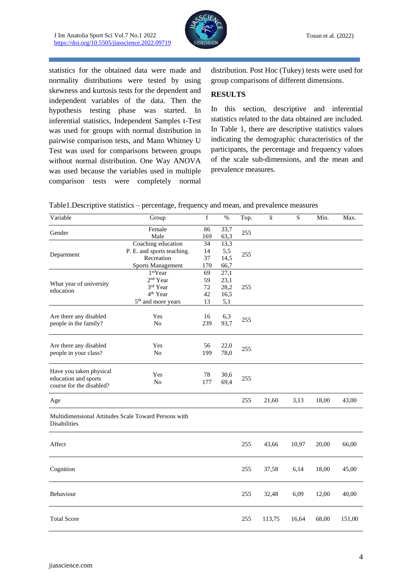

statistics for the obtained data were made and normality distributions were tested by using skewness and kurtosis tests for the dependent and independent variables of the data. Then the hypothesis testing phase was started. In inferential statistics, Independent Samples t-Test was used for groups with normal distribution in pairwise comparison tests, and Mann Whitney U Test was used for comparisons between groups without normal distribution. One Way ANOVA was used because the variables used in multiple comparison tests were completely normal distribution. Post Hoc (Tukey) tests were used for group comparisons of different dimensions.

#### **RESULTS**

In this section, descriptive and inferential statistics related to the data obtained are included. In Table 1, there are descriptive statistics values indicating the demographic characteristics of the participants, the percentage and frequency values of the scale sub-dimensions, and the mean and prevalence measures.

| Table1.Descriptive statistics – percentage, frequency and mean, and prevalence measures |  |  |
|-----------------------------------------------------------------------------------------|--|--|
|                                                                                         |  |  |

| Variable                                                                    | Group                                                                                                              | f                          | $\%$                                | Top. | $\overline{\mathbf{x}}$ | ${\bf S}$ | Min.  | Max.   |
|-----------------------------------------------------------------------------|--------------------------------------------------------------------------------------------------------------------|----------------------------|-------------------------------------|------|-------------------------|-----------|-------|--------|
| Gender                                                                      | Female<br>Male                                                                                                     | 86<br>169                  | 33,7<br>63,3                        | 255  |                         |           |       |        |
| Department                                                                  | Coaching education<br>P. E. and sports teaching.<br>Recreation<br><b>Sports Management</b>                         | 34<br>14<br>37<br>170      | 13,3<br>5,5<br>14,5<br>66,7         | 255  |                         |           |       |        |
| What year of university<br>education                                        | 1 <sup>st</sup> Year<br>2 <sup>nd</sup> Year<br>3rd Year<br>4 <sup>th</sup> Year<br>5 <sup>th</sup> and more years | 69<br>59<br>72<br>42<br>13 | 27,1<br>23,1<br>28,2<br>16,5<br>5,1 | 255  |                         |           |       |        |
| Are there any disabled<br>people in the family?                             | Yes<br>No                                                                                                          | 16<br>239                  | 6,3<br>93,7                         | 255  |                         |           |       |        |
| Are there any disabled<br>people in your class?                             | Yes<br>N <sub>o</sub>                                                                                              | 56<br>199                  | 22,0<br>78,0                        | 255  |                         |           |       |        |
| Have you taken physical<br>education and sports<br>course for the disabled? | Yes<br>No                                                                                                          | 78<br>177                  | 30,6<br>69,4                        | 255  |                         |           |       |        |
| Age                                                                         |                                                                                                                    |                            |                                     | 255  | 21,60                   | 3,13      | 18,00 | 43,00  |
| <b>Disabilities</b>                                                         | Multidimensional Attitudes Scale Toward Persons with                                                               |                            |                                     |      |                         |           |       |        |
| Affect                                                                      |                                                                                                                    |                            |                                     | 255  | 43,66                   | 10,97     | 20,00 | 66,00  |
| Cognition                                                                   |                                                                                                                    |                            |                                     | 255  | 37,58                   | 6,14      | 18,00 | 45,00  |
| Behaviour                                                                   |                                                                                                                    |                            |                                     | 255  | 32,48                   | 6,09      | 12,00 | 40,00  |
| <b>Total Score</b>                                                          |                                                                                                                    |                            |                                     | 255  | 113,75                  | 16,64     | 68,00 | 151,00 |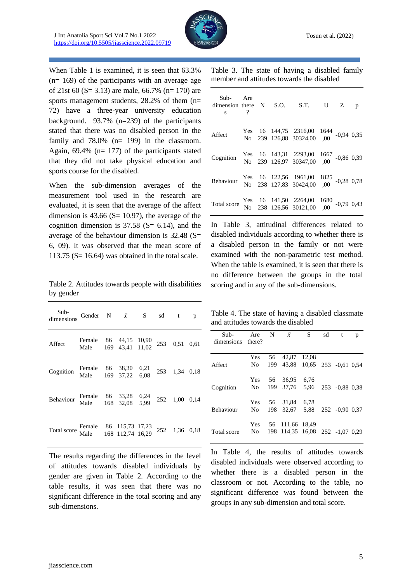

When Table 1 is examined, it is seen that 63.3% (n= 169) of the participants with an average age of 21st 60 (S= 3.13) are male, 66.7% (n= 170) are sports management students, 28.2% of them (n= 72) have a three-year university education background. 93.7% (n=239) of the participants stated that there was no disabled person in the family and 78.0% (n= 199) in the classroom. Again, 69.4% (n= 177) of the participants stated that they did not take physical education and sports course for the disabled.

When the sub-dimension averages of the measurement tool used in the research are evaluated, it is seen that the average of the affect dimension is  $43.66$  (S= 10.97), the average of the cognition dimension is  $37.58$  (S= 6.14), and the average of the behaviour dimension is 32.48 (S= 6, 09). It was observed that the mean score of 113.75 ( $S = 16.64$ ) was obtained in the total scale.

Table 2. Attitudes towards people with disabilities by gender

| Sub-<br>dimensions Gender N $\bar{x}$ S sd t p                                                      |                                                             |  |  |  |
|-----------------------------------------------------------------------------------------------------|-------------------------------------------------------------|--|--|--|
| Affect                                                                                              | Female 86 44,15 10,90<br>Male 169 43,41 11,02 253 0,51 0,61 |  |  |  |
| Cognition Female 86 38,30 6,21 253 1,34 0,18<br>Male 169 37,22 6,08 253 1,34 0,18                   |                                                             |  |  |  |
| Behaviour Female 86 33,28 6,24 252 1,00 0,14<br>Male 168 32,08 5,99 252 1,00 0,14                   |                                                             |  |  |  |
| Total score Female 86 115,73 17,23 252 1,36 0,18<br>Total score Male 168 112,74 16,29 252 1,36 0,18 |                                                             |  |  |  |

The results regarding the differences in the level of attitudes towards disabled individuals by gender are given in Table 2. According to the table results, it was seen that there was no significant difference in the total scoring and any sub-dimensions.

|  |  |  | Table 3. The state of having a disabled family |  |
|--|--|--|------------------------------------------------|--|
|  |  |  | member and attitudes towards the disabled      |  |

| Sub- Are<br>dimension there N S.O. S.T. U Z<br>$\mathbf{s}$ ?                                          |  |                                                                                |  | p |
|--------------------------------------------------------------------------------------------------------|--|--------------------------------------------------------------------------------|--|---|
| Affect                                                                                                 |  | Yes 16 144,75 2316,00 1644 -0,94 0,35<br>No 239 126,88 30324,00 ,00 -0,94 0,35 |  |   |
| Cognition                                                                                              |  | Yes 16 143,31 2293,00 1667 -0,86 0,39<br>No 239 126,97 30347,00 ,00 -0,86 0,39 |  |   |
| Behaviour Yes 16 122,56 1961,00 1825 -0,28 0,78<br>No 238 127,83 30424,00 ,00 -0,28 0,78               |  |                                                                                |  |   |
| Total score Yes 16 141,50 2264,00 1680 -0,79 0,43<br>Total score No 238 126,56 30121,00 ,00 -0,79 0,43 |  |                                                                                |  |   |

In Table 3, attitudinal differences related to disabled individuals according to whether there is a disabled person in the family or not were examined with the non-parametric test method. When the table is examined, it is seen that there is no difference between the groups in the total scoring and in any of the sub-dimensions.

Table 4. The state of having a disabled classmate and attitudes towards the disabled

| Sub-<br>dimensions there? | Are                      |     | N $\bar{x}$                                   | S. | sd | t              | p |
|---------------------------|--------------------------|-----|-----------------------------------------------|----|----|----------------|---|
| Affect                    | Yes 56<br>N <sub>0</sub> |     | 42,87 12,08<br>199 43,88 10,65 253 -0,61 0,54 |    |    |                |   |
| Cognition                 | Yes 56<br>No.            | 199 | 36,95 6,76<br>37,76 5,96                      |    |    | 253 -0.88 0.38 |   |
| <b>Behaviour</b>          | No.                      |     | Yes 56 31,84 6,78<br>198 32,67 5,88           |    |    | 252 -0.90 0.37 |   |
| Total score               | Yes 56<br>No.            | 198 | 111,66 18,49<br>114,35 16,08 252 -1,07 0,29   |    |    |                |   |

In Table 4, the results of attitudes towards disabled individuals were observed according to whether there is a disabled person in the classroom or not. According to the table, no significant difference was found between the groups in any sub-dimension and total score.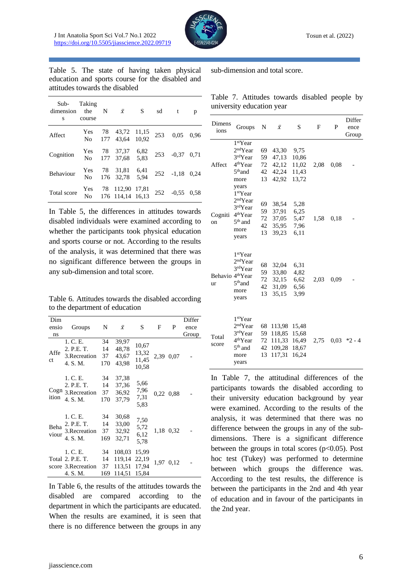

Table 5. The state of having taken physical education and sports course for the disabled and attitudes towards the disabled

| Sub-<br>dimension<br>s | Taking<br>the<br>course | N | $\bar{x}$                                | S.           | sd  | $-t$           | р    |
|------------------------|-------------------------|---|------------------------------------------|--------------|-----|----------------|------|
| Affect                 |                         |   | Yes 78 43,72 11,15<br>No 177 43,64 10,92 |              | 253 | 0,05           | 0,96 |
| Cognition              | No                      |   | Yes 78 37,37<br>177 37,68                | 6,82<br>5,83 |     | 253 -0,37 0,71 |      |
| Behaviour              | Yes 78<br>No            |   | 31,81<br>176 32.78                       | 6,41<br>5.94 |     | $252 - 1,18$   | 0.24 |
| Total score            | Yes 78<br>No            |   | 112,90<br>176 114.14 16.13               | 17,81        | 252 | $-0.55$        | 0.58 |

In Table 5, the differences in attitudes towards disabled individuals were examined according to whether the participants took physical education and sports course or not. According to the results of the analysis, it was determined that there was no significant difference between the groups in any sub-dimension and total score.

Table 6. Attitudes towards the disabled according to the department of education

| Dim<br>ensio<br>ns | Groups                                                         | N                     | $\bar{x}$                            | S                                | F    | P         | Differ<br>ence<br>Group |
|--------------------|----------------------------------------------------------------|-----------------------|--------------------------------------|----------------------------------|------|-----------|-------------------------|
| Affe<br>ct         | 1. C. E.<br>2. P.E. T.<br>3. Recreation<br>4. S.M.             | 34<br>14<br>37<br>170 | 39,97<br>48,78<br>43,67<br>43,98     | 10,67<br>13,32<br>11,45<br>10,58 |      | 2,39 0,07 |                         |
| ition              | 1. C. E.<br>2. P.E. T.<br>Cogn 3.Recreation<br>4. S.M.         | 34<br>14<br>37<br>170 | 37,38<br>37,36<br>36,92<br>37,79     | 5,66<br>7,96<br>7,31<br>5,83     |      | 0,22 0,88 |                         |
| Beha<br>viour      | 1. C. E.<br>2. P.E. T.<br>3. Recreation<br>4. S.M.             | 34<br>14<br>37<br>169 | 30,68<br>33,00<br>32,92<br>32,71     | 7,50<br>5,72<br>6,12<br>5,78     |      | 1,18 0,32 |                         |
|                    | 1. C. E.<br>Total 2. P.E. T.<br>score 3. Recreation<br>4. S.M. | 34<br>14<br>37<br>169 | 108,03<br>119,14<br>113.51<br>114,51 | 15,99<br>22,19<br>17.94<br>15,84 | 1,97 | 0,12      |                         |

In Table 6, the results of the attitudes towards the disabled are compared according to the department in which the participants are educated. When the results are examined, it is seen that there is no difference between the groups in any

sub-dimension and total score.

Table 7. Attitudes towards disabled people by university education year

| Dimens<br>ions                     | Groups                                                                                                                  | N                          | $\bar{x}$                                      | S                                         | F    | P    | Differ<br>ence<br>Group |
|------------------------------------|-------------------------------------------------------------------------------------------------------------------------|----------------------------|------------------------------------------------|-------------------------------------------|------|------|-------------------------|
| Affect                             | 1 <sup>st</sup> Year<br>2 <sup>nd</sup> Year<br>3rdYear<br>4 <sup>th</sup> Year<br>$5th$ and<br>more<br>years           | 69<br>59<br>72<br>42<br>13 | 43,30<br>47,13<br>42,12<br>42,24<br>42,92      | 9,75<br>10,86<br>11,02<br>11,43<br>13,72  | 2,08 | 0.08 |                         |
| Cogniti<br>on                      | 1 <sup>st</sup> Year<br>2 <sup>nd</sup> Year<br>3rdYear<br>4 <sup>th</sup> Year<br>$5th$ and<br>more<br>years           | 69<br>59<br>72<br>42<br>13 | 38,54<br>37,91<br>37,05<br>35,95<br>39,23      | 5,28<br>6,25<br>5,47<br>7,96<br>6,11      | 1,58 | 0,18 |                         |
| Behavio 4 <sup>th</sup> Year<br>ur | 1 <sup>st</sup> Year<br>2 <sup>nd</sup> Year<br>3rdYear<br>5 <sup>th</sup> and<br>more<br>years                         | 68<br>59<br>72<br>42<br>13 | 32,04<br>33,80<br>32,15<br>31,09<br>35,15      | 6,31<br>4,82<br>6,62<br>6.56<br>3.99      | 2,03 | 0.09 |                         |
| Total<br>score                     | 1 <sup>st</sup> Year<br>2 <sup>nd</sup> Year<br>3rdYear<br>4 <sup>th</sup> Year<br>5 <sup>th</sup> and<br>more<br>years | 68<br>59<br>72<br>42<br>13 | 113,98<br>118,85<br>111,33<br>109,28<br>117,31 | 15,48<br>15,68<br>16,49<br>18,67<br>16,24 | 2,75 | 0.03 | $*2 - 4$                |

In Table 7, the attitudinal differences of the participants towards the disabled according to their university education background by year were examined. According to the results of the analysis, it was determined that there was no difference between the groups in any of the subdimensions. There is a significant difference between the groups in total scores ( $p<0.05$ ). Post hoc test (Tukey) was performed to determine between which groups the difference was. According to the test results, the difference is between the participants in the 2nd and 4th year of education and in favour of the participants in the 2nd year.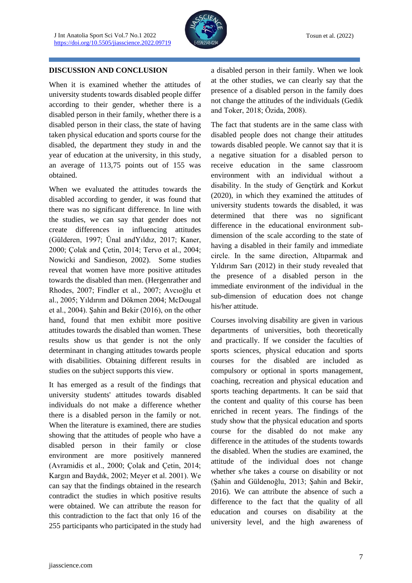

#### **DISCUSSION AND CONCLUSION**

When it is examined whether the attitudes of university students towards disabled people differ according to their gender, whether there is a disabled person in their family, whether there is a disabled person in their class, the state of having taken physical education and sports course for the disabled, the department they study in and the year of education at the university, in this study, an average of 113,75 points out of 155 was obtained.

When we evaluated the attitudes towards the disabled according to gender, it was found that there was no significant difference. In line with the studies, we can say that gender does not create differences in influencing attitudes (Gülderen, 1997; Ünal andYıldız, 2017; Kaner, 2000; Çolak and Çetin, 2014; Tervo et al., 2004; Nowicki and Sandieson, 2002). Some studies reveal that women have more positive attitudes towards the disabled than men. (Hergenrather and Rhodes, 2007; Findler et al., 2007; Avcıoğlu et al., 2005; Yıldırım and Dökmen 2004; McDougal et al., 2004). Şahin and Bekir (2016), on the other hand, found that men exhibit more positive attitudes towards the disabled than women. These results show us that gender is not the only determinant in changing attitudes towards people with disabilities. Obtaining different results in studies on the subject supports this view.

It has emerged as a result of the findings that university students' attitudes towards disabled individuals do not make a difference whether there is a disabled person in the family or not. When the literature is examined, there are studies showing that the attitudes of people who have a disabled person in their family or close environment are more positively mannered (Avramidis et al., 2000; Çolak and Çetin, 2014; Kargın and Baydık, 2002; Meyer et al. 2001). We can say that the findings obtained in the research contradict the studies in which positive results were obtained. We can attribute the reason for this contradiction to the fact that only 16 of the 255 participants who participated in the study had a disabled person in their family. When we look at the other studies, we can clearly say that the presence of a disabled person in the family does not change the attitudes of the individuals (Gedik and Toker, 2018; Özida, 2008).

The fact that students are in the same class with disabled people does not change their attitudes towards disabled people. We cannot say that it is a negative situation for a disabled person to receive education in the same classroom environment with an individual without a disability. In the study of Gençtürk and Korkut (2020), in which they examined the attitudes of university students towards the disabled, it was determined that there was no significant difference in the educational environment subdimension of the scale according to the state of having a disabled in their family and immediate circle. In the same direction, Altıparmak and Yıldırım Sarı (2012) in their study revealed that the presence of a disabled person in the immediate environment of the individual in the sub-dimension of education does not change his/her attitude.

Courses involving disability are given in various departments of universities, both theoretically and practically. If we consider the faculties of sports sciences, physical education and sports courses for the disabled are included as compulsory or optional in sports management, coaching, recreation and physical education and sports teaching departments. It can be said that the content and quality of this course has been enriched in recent years. The findings of the study show that the physical education and sports course for the disabled do not make any difference in the attitudes of the students towards the disabled. When the studies are examined, the attitude of the individual does not change whether s/he takes a course on disability or not (Şahin and Güldenoğlu, 2013; Şahin and Bekir, 2016). We can attribute the absence of such a difference to the fact that the quality of all education and courses on disability at the university level, and the high awareness of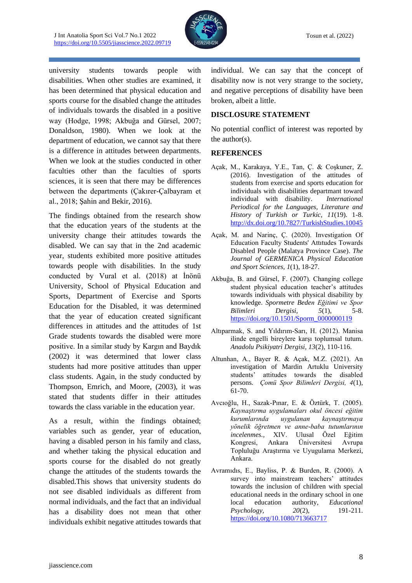

university students towards people with disabilities. When other studies are examined, it has been determined that physical education and sports course for the disabled change the attitudes of individuals towards the disabled in a positive way (Hodge, 1998; Akbuğa and Gürsel, 2007; Donaldson, 1980). When we look at the department of education, we cannot say that there is a difference in attitudes between departments. When we look at the studies conducted in other faculties other than the faculties of sports sciences, it is seen that there may be differences between the departments (Çakırer-Çalbayram et al., 2018; Şahin and Bekir, 2016).

The findings obtained from the research show that the education years of the students at the university change their attitudes towards the disabled. We can say that in the 2nd academic year, students exhibited more positive attitudes towards people with disabilities. In the study conducted by Vural et al. (2018) at İnönü University, School of Physical Education and Sports, Department of Exercise and Sports Education for the Disabled, it was determined that the year of education created significant differences in attitudes and the attitudes of 1st Grade students towards the disabled were more positive. In a similar study by Kargın and Baydık (2002) it was determined that lower class students had more positive attitudes than upper class students. Again, in the study conducted by Thompson, Emrich, and Moore, (2003), it was stated that students differ in their attitudes towards the class variable in the education year.

As a result, within the findings obtained; variables such as gender, year of education, having a disabled person in his family and class, and whether taking the physical education and sports course for the disabled do not greatly change the attitudes of the students towards the disabled.This shows that university students do not see disabled individuals as different from normal individuals, and the fact that an individual has a disability does not mean that other individuals exhibit negative attitudes towards that individual. We can say that the concept of disability now is not very strange to the society, and negative perceptions of disability have been broken, albeit a little.

#### **DISCLOSURE STATEMENT**

No potential conflict of interest was reported by the author(s).

#### **REFERENCES**

- Açak, M., Karakaya, Y.E., Tan, Ç. & Coşkuner, Z. (2016). Investigation of the attitudes of students from exercise and sports education for individuals with disabilities departmant toward individual with disability. *International Periodical for the Languages, Literature and History of Turkish or Turkic, 11*(19). 1-8. <http://dx.doi.org/10.7827/TurkishStudies.10045>
- Açak, M. and Narinç, Ç. (2020). Investigation Of Education Faculty Students' Attıtudes Towards Disabled People (Malatya Province Case). *The Journal of GERMENICA Physical Education and Sport Sciences, 1*(1), 18-27.
- Akbuğa, B. and Gürsel, F. (2007). Changing college student physical education teacher's attitudes towards individuals with physical disability by knowledge. *Spormetre Beden Eğitimi ve Spor Bilimleri Dergisi, 5*(1), 5-8. [https://doi.org/10.1501/Sporm\\_0000000119](https://doi.org/10.1501/Sporm_0000000119)
- Altıparmak, S. and Yıldırım-Sarı, H. (2012). Manisa ilinde engelli bireylere karşı toplumsal tutum. *Anadolu Psikiyatri Dergisi, 13*(2), 110-116.
- Altunhan, A., Bayer R. & Açak, M.Z. (2021). An investigation of Mardin Artuklu University students' attitudes towards the disabled persons. *Çomü Spor Bilimleri Dergisi, 4*(1), 61-70.
- Avcıoğlu, H., Sazak-Pınar, E. & Öztürk, T. (2005). *Kaynaştırma uygulamaları okul öncesi eğitim kurumlarında uygulanan kaynaştırmaya yönelik öğretmen ve anne-baba tutumlarının incelenmes.,* XIV. Ulusal Özel Eğitim Kongresi, Ankara Üniversitesi Avrupa Topluluğu Araştırma ve Uyugulama Merkezi, Ankara.
- Avramıdıs, E., Bayliss, P. & Burden, R. (2000). A survey into mainstream teachers' attitudes towards the inclusion of children with special educational needs in the ordinary school in one local education authority, *Educational Psychology, 20*(2), 191-211. <https://doi.org/10.1080/713663717>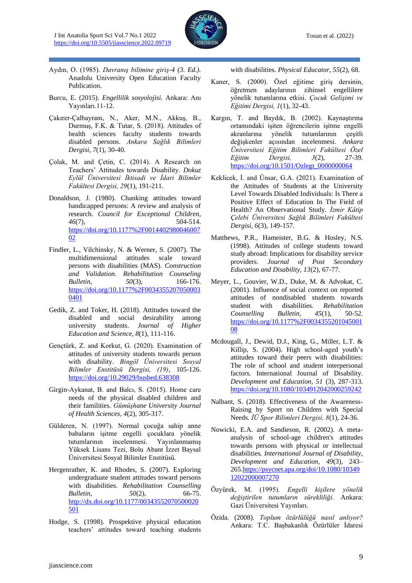

- Aydın, O. (1985). *Davranış bilimine giriş-4 (3. Ed.).* Anadolu University Open Education Faculty Publication.
- Burcu, E. (2015). *Engellilik sosyolojisi.* Ankara: Anı Yayınları.11-12.
- Çakırer-Çalbayram, N., Aker, M.N., Akkuş, B., Durmuş, F.K. & Tutar, S. (2018). Attitudes of health sciences faculty students towards disabled persons. *Ankara Sağlık Bilimleri Dergisi, 7*(1), 30-40.
- Çolak, M. and Çetin, C. (2014). A Research on Teachers' Attitudes towards Disability. *Dokuz Eylül Üniversitesi İktisadi ve İdari Bilimler Fakültesi Dergisi, 29*(1), 191-211.
- Donaldson, J. (1980). Chanking attitudes toward handicapped persons: A review and analysis of research. *Council for Exceptional Children, 46*(7), 504-514. [https://doi.org/10.1177%2F0014402980046007](https://doi.org/10.1177%2F001440298004600702) [02](https://doi.org/10.1177%2F001440298004600702)
- Findler, L., Vilchinsky, N. & Werner, S. (2007). The multidimensional attitudes scale toward persons with disabilities (MAS). *Construction and Validation. Rehabilitation Counseling Bulletin, 50*(3), 166-176. [https://doi.org/10.1177%2F0034355207050003](https://doi.org/10.1177%2F00343552070500030401) [0401](https://doi.org/10.1177%2F00343552070500030401)
- Gedik, Z. and Toker, H. (2018). Attitudes toward the disabled and social desirability among university students. *Journal of Higher Education and Science, 8*(1), 111-116.
- Gençtürk, Z. and Korkut, G. (2020). Examination of attitudes of university students towards person with disability. *Bingöl Üniversitesi Sosyal Bilimler Enstitüsü Dergisi, (19)*, 105-126. <https://doi.org/10.29029/busbed.638308>
- Girgin-Aykanat, B. and Balcı, S. (2015). Home care needs of the physical disabled children and their familities. *Gümüşhane University Journal of Health Sciences, 4*(2), 305-317.
- Gülderen, N. (1997). Normal çocuğa sahip anne babaların işitme engelli çocuklara yönelik tutumlarının incelenmesi. Yayınlanmamış Yüksek Lisans Tezi, Bolu Abant İzzet Baysal Üniversitesi Sosyal Bilimler Enstitüsü.
- Hergenrather, K. and Rhodes, S. (2007). Exploring undergraduate student attitudes toward persons with disabilities. *Rehabilitation Counselling Bulletin, 50*(2), 66-75. [http://dx.doi.org/10.1177/00343552070500020](http://dx.doi.org/10.1177/00343552070500020501) [501](http://dx.doi.org/10.1177/00343552070500020501)
- Hodge, S. (1998). Prospektive physical education teachers' attitudes toward teaching students

with disabilities. *Physical Educator, 55*(2), 68.

- Kaner, S. (2000). Özel eğitime giriş dersinin, öğretmen adaylarının zihinsel engellilere yönelik tutumlarına etkisi. *Çocuk Gelişimi ve Eğitimi Dergisi, 1*(1), 32-43.
- Kargın, T. and Baydık, B. (2002). Kaynaştırma ortamındaki işiten öğrencilerin işitme engelli akranlarına yönelik tutumlarının çeşitli değişkenler açısından incelenmesi*. Ankara Üniversitesi Eğitim Bilimleri Fakültesi Özel Eğitim Dergisi, 3*(2), 27-39. [https://doi.org/10.1501/Ozlegt\\_0000000064](https://doi.org/10.1501/Ozlegt_0000000064)
- Keklicek, İ. and Ünsar, G.A. (2021). Examination of the Attitudes of Students at the University Level Towards Disabled Individuals: Is There a Positive Effect of Education In The Field of Health? An Observational Study. *İzmir Kâtip Çelebi Üniversitesi Sağlık Bilimleri Fakültesi Dergisi, 6*(3), 149-157.
- Matthews, P.R., Hameister, B.G. & Hosley, N.S. (1998). Attitudes of college students toward study abroad: Implications for disability service providers. *Journal of Post Secondary Education and Disability, 13*(2), 67-77.
- Meyer, L., Gouvier, W.D., Duke, M. & Advokat, C. (2001). Influence of social context on reported attitudes of nondisabled students towards student with disabilities. *Rehabilitation Counselling Bulletin, 45*(1), 50-52. [https://doi.org/10.1177%2F0034355201045001](https://doi.org/10.1177%2F003435520104500108) [08](https://doi.org/10.1177%2F003435520104500108)
- Mcdougall, J., Dewid, D.J., King, G., Miller, L.T. & Killip, S. (2004). High school-aged youth's attitudes toward their peers with disabilities: The role of school and student interpersonal factors. International Journal of Disability. *Development and Education, 51* (3), 287-313. <https://doi.org/10.1080/1034912042000259242>
- Nalbant, S. (2018). Effectiveness of the Awareness-Raising by Sport on Children with Special Needs. *İÜ Spor Bilimleri Dergisi, 8*(1), 24-36.
- Nowicki, E.A. and Sandieson, R. (2002). A metaanalysis of school-age children's attitudes towards persons with physical or intellectual disabilities*. International Journal of Disability, Development and Education, 49*(3), 243– 26[5.https://psycnet.apa.org/doi/10.1080/10349](https://psycnet.apa.org/doi/10.1080/1034912022000007270) [12022000007270](https://psycnet.apa.org/doi/10.1080/1034912022000007270)
- Özyürek, M. (1995). *Engelli kişilere yönelik değiştirilen tutumların sürekliliği.* Ankara: Gazi Üniversitesi Yayınları.
- Özida. (2008). *Toplum özürlülüğü nasıl anlıyor?* Ankara: T.C. Başbakanlık Özürlüler İdaresi